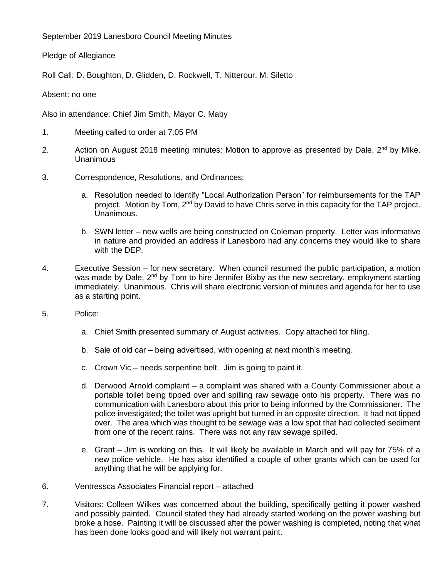September 2019 Lanesboro Council Meeting Minutes

Pledge of Allegiance

Roll Call: D. Boughton, D. Glidden, D. Rockwell, T. Nitterour, M. Siletto

Absent: no one

Also in attendance: Chief Jim Smith, Mayor C. Maby

- 1. Meeting called to order at 7:05 PM
- 2. Action on August 2018 meeting minutes: Motion to approve as presented by Dale,  $2^{nd}$  by Mike. Unanimous
- 3. Correspondence, Resolutions, and Ordinances:
	- a. Resolution needed to identify "Local Authorization Person" for reimbursements for the TAP project. Motion by Tom, 2<sup>nd</sup> by David to have Chris serve in this capacity for the TAP project. Unanimous.
	- b. SWN letter new wells are being constructed on Coleman property. Letter was informative in nature and provided an address if Lanesboro had any concerns they would like to share with the DEP.
- 4. Executive Session for new secretary. When council resumed the public participation, a motion was made by Dale, 2<sup>nd</sup> by Tom to hire Jennifer Bixby as the new secretary, employment starting immediately. Unanimous. Chris will share electronic version of minutes and agenda for her to use as a starting point.
- 5. Police:
	- a. Chief Smith presented summary of August activities. Copy attached for filing.
	- b. Sale of old car being advertised, with opening at next month's meeting.
	- c. Crown Vic needs serpentine belt. Jim is going to paint it.
	- d. Derwood Arnold complaint a complaint was shared with a County Commissioner about a portable toilet being tipped over and spilling raw sewage onto his property. There was no communication with Lanesboro about this prior to being informed by the Commissioner. The police investigated; the toilet was upright but turned in an opposite direction. It had not tipped over. The area which was thought to be sewage was a low spot that had collected sediment from one of the recent rains. There was not any raw sewage spilled.
	- e. Grant Jim is working on this. It will likely be available in March and will pay for 75% of a new police vehicle. He has also identified a couple of other grants which can be used for anything that he will be applying for.
- 6. Ventressca Associates Financial report attached
- 7. Visitors: Colleen Wilkes was concerned about the building, specifically getting it power washed and possibly painted. Council stated they had already started working on the power washing but broke a hose. Painting it will be discussed after the power washing is completed, noting that what has been done looks good and will likely not warrant paint.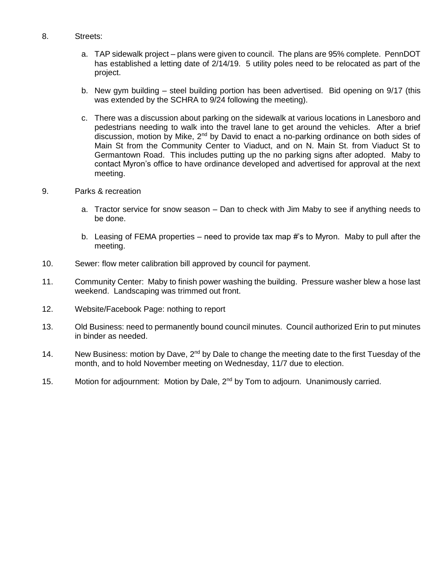### 8. Streets:

- a. TAP sidewalk project plans were given to council. The plans are 95% complete. PennDOT has established a letting date of 2/14/19. 5 utility poles need to be relocated as part of the project.
- b. New gym building steel building portion has been advertised. Bid opening on 9/17 (this was extended by the SCHRA to 9/24 following the meeting).
- c. There was a discussion about parking on the sidewalk at various locations in Lanesboro and pedestrians needing to walk into the travel lane to get around the vehicles. After a brief discussion, motion by Mike,  $2<sup>nd</sup>$  by David to enact a no-parking ordinance on both sides of Main St from the Community Center to Viaduct, and on N. Main St. from Viaduct St to Germantown Road. This includes putting up the no parking signs after adopted. Maby to contact Myron's office to have ordinance developed and advertised for approval at the next meeting.

#### 9. Parks & recreation

- a. Tractor service for snow season Dan to check with Jim Maby to see if anything needs to be done.
- b. Leasing of FEMA properties need to provide tax map #'s to Myron. Maby to pull after the meeting.
- 10. Sewer: flow meter calibration bill approved by council for payment.
- 11. Community Center: Maby to finish power washing the building. Pressure washer blew a hose last weekend. Landscaping was trimmed out front.
- 12. Website/Facebook Page: nothing to report
- 13. Old Business: need to permanently bound council minutes. Council authorized Erin to put minutes in binder as needed.
- 14. New Business: motion by Dave, 2<sup>nd</sup> by Dale to change the meeting date to the first Tuesday of the month, and to hold November meeting on Wednesday, 11/7 due to election.
- 15. Motion for adjournment: Motion by Dale, 2<sup>nd</sup> by Tom to adjourn. Unanimously carried.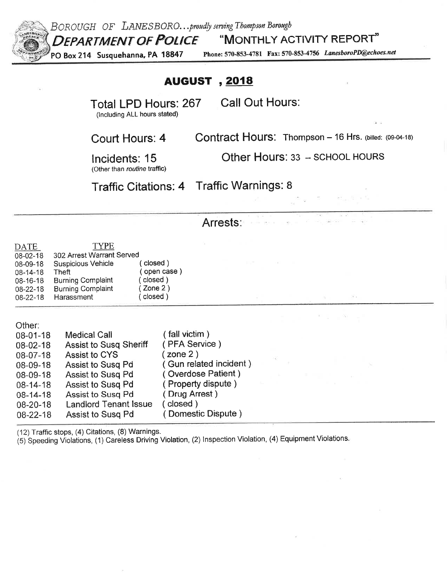

BOROUGH OF LANESBORO... proudly serving Thompson Borough

"MONTHLY ACTIVITY REPORT"

PO Box 214 Susquehanna, PA 18847

Phone: 570-853-4781 Fax: 570-853-4756 LanesboroPD@echoes.net

# **AUGUST**, 2018

Total LPD Hours: 267

**Call Out Hours:** 

in service

(Including ALL hours stated)

Contract Hours: Thompson - 16 Hrs. (billed: (09-04-18)

Incidents: 15

Court Hours: 4

Other Hours: 33 -- SCHOOL HOURS

(Other than routine traffic)

Traffic Citations: 4 Traffic Warnings: 8

# Arrests:

| DATE     | <b>TYPE</b>               |             |
|----------|---------------------------|-------------|
| 08-02-18 | 302 Arrest Warrant Served |             |
| 08-09-18 | <b>Suspicious Vehicle</b> | (closed)    |
| 08-14-18 | Theft                     | (open case) |
| 08-16-18 | <b>Burning Complaint</b>  | (closed)    |
| 08-22-18 | <b>Burning Complaint</b>  | $($ Zone 2) |
| 08-22-18 | Harassment                | (closed)    |

Other:

| $08 - 01 - 18$ | <b>Medical Call</b>           | fall victim)            |  |  |  |
|----------------|-------------------------------|-------------------------|--|--|--|
| 08-02-18       | <b>Assist to Susq Sheriff</b> | (PFA Service)           |  |  |  |
| $08-07-18$     | Assist to CYS                 | zone 2)                 |  |  |  |
| 08-09-18       | Assist to Susg Pd             | (Gun related incident). |  |  |  |
| $08 - 09 - 18$ | Assist to Susq Pd             | (Overdose Patient)      |  |  |  |
| $08 - 14 - 18$ | Assist to Susg Pd             | (Property dispute)      |  |  |  |
| $08 - 14 - 18$ | Assist to Susg Pd             | (Drug Arrest)           |  |  |  |
| $08 - 20 - 18$ | <b>Landlord Tenant Issue</b>  | closed)                 |  |  |  |
| $08 - 22 - 18$ | Assist to Susg Pd             | ( Domestic Dispute )    |  |  |  |

(12) Traffic stops, (4) Citations, (8) Warnings.

(5) Speeding Violations, (1) Careless Driving Violation, (2) Inspection Violation, (4) Equipment Violations.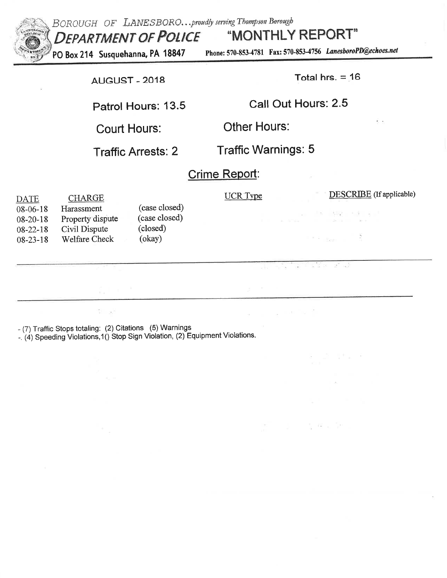

BOROUGH OF LANESBORO...proudly serving Thompson Borough "MONTHLY REPORT" **DEPARTMENT OF POLICE** 

PO Box 214 Susquehanna, PA 18847

Phone: 570-853-4781 Fax: 570-853-4756 LanesboroPD@echoes.net

**AUGUST - 2018** 

Total hrs.  $= 16$ 

all nucle

and the con-

 $\frac{1}{2}$   $\frac{1}{2}$   $\frac{1}{2}$   $\frac{1}{2}$   $\frac{1}{2}$ 

 $\widehat{(\bullet)}$ 

**Controller Controller** 

Patrol Hours: 13.5

Call Out Hours: 2.5

**Court Hours:** 

Other Hours:

**Traffic Arrests: 2** 

**Traffic Warnings: 5** 

# Crime Report:

| <b>DATE</b>                      | <b>CHARGE</b>                  |                                | UCR Type | <b>DESCRIBE</b> (If applicable)                                                                                 |
|----------------------------------|--------------------------------|--------------------------------|----------|-----------------------------------------------------------------------------------------------------------------|
| $08 - 06 - 18$<br>$08 - 20 - 18$ | Harassment<br>Property dispute | (case closed)<br>(case closed) |          | 그는 그리고 실행을 가장 들었다.<br>The company of the state of the company of the company of the company of the company of   |
| $08 - 22 - 18$<br>$08 - 23 - 18$ | Civil Dispute<br>Welfare Check | (closed)<br>(okay)             |          | $\frac{1}{2}$ $\frac{1}{2}$ $\frac{1}{2}$ $\frac{1}{2}$ $\frac{1}{2}$ $\frac{1}{2}$ $\frac{1}{2}$ $\frac{1}{2}$ |
|                                  |                                |                                |          |                                                                                                                 |

- (7) Traffic Stops totaling: (2) Citations (5) Warnings

-. (4) Speeding Violations, 1() Stop Sign Violation, (2) Equipment Violations.

11 - 57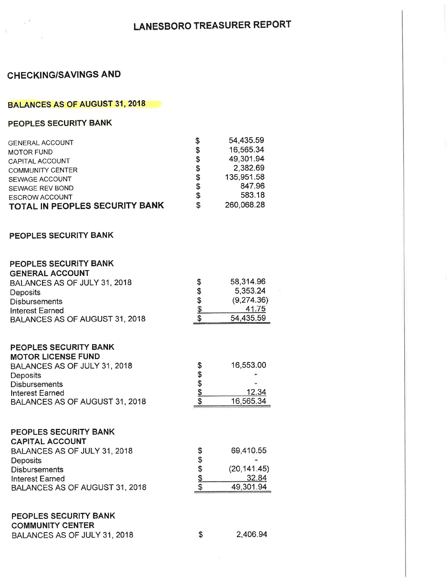$\sim 100$ 

# **CHECKING/SAVINGS AND**

 $\pi^{-1}$ 

 $\sim$ 

# **BALANCES AS OF AUGUST 31, 2018**

# PEOPLES SECURITY BANK

| <b>GENERAL ACCOUNT</b>         | \$ | 54,435.59  |
|--------------------------------|----|------------|
| <b>MOTOR FUND</b>              | \$ | 16,565.34  |
| CAPITAL ACCOUNT                | \$ | 49,301.94  |
| <b>COMMUNITY CENTER</b>        | S  | 2,382.69   |
| SEWAGE ACCOUNT                 | \$ | 135,951.58 |
| SEWAGE REV BOND                | \$ | 847.96     |
| <b>ESCROW ACCOUNT</b>          | \$ | 583.18     |
| TOTAL IN PEOPLES SECURITY BANK | S  | 260,068.28 |

#### PEOPLES SECURITY BANK

#### PEOPLES SECURITY BANK  $\cdots$

| <b>GENERAL ACCOUNT</b>         |            |              |  |
|--------------------------------|------------|--------------|--|
| BALANCES AS OF JULY 31, 2018   | \$         | 58,314.96    |  |
| Deposits                       |            | 5,353.24     |  |
| <b>Disbursements</b>           |            | (9,274.36)   |  |
| <b>Interest Earned</b>         | \$169 \$9  | 41.75        |  |
| BALANCES AS OF AUGUST 31, 2018 |            | 54,435.59    |  |
|                                |            |              |  |
| PEOPLES SECURITY BANK          |            |              |  |
| <b>MOTOR LICENSE FUND</b>      |            |              |  |
| BALANCES AS OF JULY 31, 2018   | 81888      | 16,553.00    |  |
| Deposits                       |            |              |  |
| <b>Disbursements</b>           |            |              |  |
| <b>Interest Earned</b>         |            | 12.34        |  |
| BALANCES AS OF AUGUST 31, 2018 |            | 16,565.34    |  |
|                                |            |              |  |
| PEOPLES SECURITY BANK          |            |              |  |
| <b>CAPITAL ACCOUNT</b>         |            |              |  |
| BALANCES AS OF JULY 31, 2018   |            | 69,410.55    |  |
| <b>Deposits</b>                |            |              |  |
| <b>Disbursements</b>           | 81 B B B B | (20, 141.45) |  |
| <b>Interest Earned</b>         |            | 32.84        |  |
| BALANCES AS OF AUGUST 31, 2018 |            | 49,301.94    |  |
|                                |            |              |  |
| PEOPLES SECURITY BANK          |            |              |  |
| <b>COMMUNITY CENTER</b>        |            |              |  |
| BALANCES AS OF JULY 31, 2018   | \$         | 2,406.94     |  |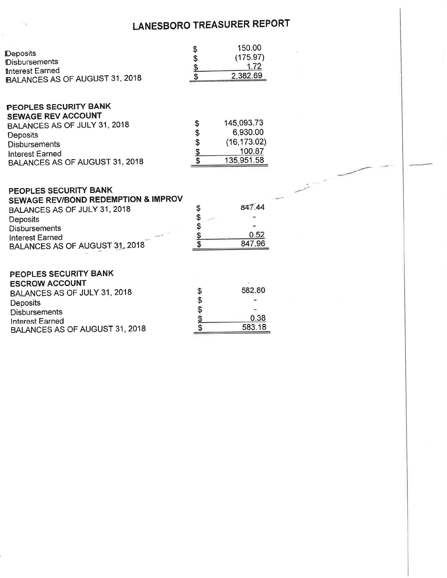|                                       |              | 150.00       |  |
|---------------------------------------|--------------|--------------|--|
| Deposits                              | 8169 89 89   | (175.97)     |  |
| <b>Disbursements</b>                  |              | 1.72         |  |
| <b>Interest Earned</b>                |              | 2,382.69     |  |
| BALANCES AS OF AUGUST 31, 2018        |              |              |  |
| PEOPLES SECURITY BANK                 |              |              |  |
| <b>SEWAGE REV ACCOUNT</b>             | \$           | 145,093.73   |  |
| BALANCES AS OF JULY 31, 2018          |              | 6,930.00     |  |
| Deposits                              |              | (16, 173.02) |  |
| <b>Disbursements</b>                  | \$\$\$\$     | 100.87       |  |
| <b>Interest Earned</b>                |              | 135,951.58   |  |
| BALANCES AS OF AUGUST 31, 2018        |              |              |  |
| PEOPLES SECURITY BANK                 |              |              |  |
| SEWAGE REV/BOND REDEMPTION & IMPROV   |              |              |  |
| BALANCES AS OF JULY 31, 2018          | \$           | 847.44       |  |
| <b>Deposits</b>                       |              |              |  |
| <b>Disbursements</b>                  | 生まま          |              |  |
| <b>Interest Earned</b>                |              | 0.52         |  |
| BALANCES AS OF AUGUST 31, 2018        |              | 847.96       |  |
|                                       |              |              |  |
| PEOPLES SECURITY BANK                 |              |              |  |
| <b>ESCROW ACCOUNT</b>                 |              |              |  |
| BALANCES AS OF JULY 31, 2018          |              | 582.80       |  |
| Deposits                              | 8169 \$9 \$9 |              |  |
| <b>Disbursements</b>                  |              |              |  |
| Interest Earned                       |              | 0.38         |  |
| <b>BALANCES AS OF AUGUST 31, 2018</b> |              | 583.18       |  |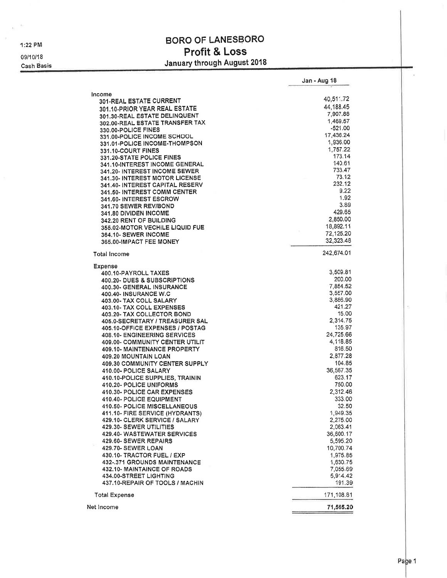1:22 PM

 $\frac{1}{\Delta t}$  .

09/10/18 Cash Basis

# **BORO OF LANESBORO** Profit & Loss January through August 2018

|                                                              | Jan - Aug 18       |
|--------------------------------------------------------------|--------------------|
|                                                              |                    |
| Income<br><b>301-REAL ESTATE CURRENT</b>                     | 40,511.72          |
| 301.10-PRIOR YEAR REAL ESTATE                                | 44,188.45          |
|                                                              | 7,907.88           |
| 301.30-REAL ESTATE DELINQUENT                                | 1,469.57           |
| 302.00-REAL ESTATE TRANSFER TAX                              | $-521.00$          |
| <b>330.00-POLICE FINES</b>                                   | 17,436.24          |
| 331.00-POLICE INCOME SCHOOL                                  | 1,936.00           |
| 331.01-POLICE INCOME-THOMPSON                                | 1,757.22           |
| 331.10-COURT FINES                                           | 173.14             |
| 331.20-STATE POLICE FINES                                    | 140.61             |
| 341.10-INTEREST INCOME GENERAL                               | 733.47             |
| 341.20- INTEREST INCOME SEWER                                | 73.12              |
| 341.30- INTEREST MOTOR LICENSE                               | 232.12             |
| 341.40- INTEREST CAPITAL RESERV                              | 9.22               |
| 341.50- INTEREST COMM CENTER                                 | 1.92               |
| 341.60- INTEREST ESCROW                                      | 3.89               |
| 341.70 SEWER REV/BOND                                        | 429.65             |
| <b>341,80 DIVIDEN INCOME</b>                                 |                    |
| 342.20 RENT OF BUILDING                                      | 2,850.00           |
| <b>355.02-MOTOR VECHILE LIQUID FUE</b>                       | 18,892.11          |
| <b>364.10- SEWER INCOME</b>                                  | 72,125.20          |
| 365.00-IMPACT FEE MONEY                                      | 32,323.48          |
| <b>Total Income</b>                                          | 242.674.01         |
| <b>Expense</b>                                               |                    |
| 400.10-PAYROLL TAXES                                         | 3,509.81           |
| 400.20- DUES & SUBSCRIPTIONS                                 | 200.00             |
| 400.30- GENERAL INSURANCE                                    | 7,854.52           |
| 400.40- INSURANCE W.C                                        | 3,557.00           |
| 403.00- TAX COLL SALARY                                      | 3,886.90           |
| 403.10- TAX COLL EXPENSES                                    | 421.27             |
| <b>403.20- TAX COLLECTOR BOND</b>                            | 15.00              |
| 405.0-SECRETARY / TREASURER SAL                              | 2,314.75           |
| 405.10-OFFICE EXPENSES / POSTAG                              | 135.97             |
| 408.10- ENGINEERING SERVICES                                 | 24,725.66          |
| 409.00- COMMUNITY CENTER UTILIT                              | 4,118.85           |
| 409.10- MAINTENANCE PROPERTY                                 | 816.50             |
| 409.20 MOUNTAIN LOAN                                         | 2,877.28           |
| 409.30 COMMUNITY CENTER SUPPLY                               | 104.85             |
| 410.00- POLICE SALARY                                        | 36,567.35          |
| 410.10-POLICE SUPPLIES, TRAININ                              | 623.17             |
| 410.20- POLICE UNIFORMS                                      | 750.00             |
| 410.30- POLICE CAR EXPENSES                                  | 2,312.46           |
| 410.40- POLICE EQUIPMENT                                     | 333.00             |
| 410.50- POLICE MISCELLANEOUS                                 | 32.50              |
| 411.10- FIRE SERVICE (HYDRANTS)                              | 1,949.35           |
| 429.10- CLERK SERVICE / SALARY                               | 2,275.00           |
| 429.30- SEWER UTILITIES                                      | 2,063.41           |
| 429.40- WASTEWATER SERVICES                                  | 36,600.17          |
| 429.60- SEWER REPAIRS                                        | 5,595.20           |
| 429.70- SEWER LOAN                                           | 10,700.74          |
| 430.10- TRACTOR FUEL / EXP                                   | 1,975.85           |
| 432-.371 GROUNDS MAINTENANCE                                 | 1,630.75           |
|                                                              |                    |
| 432.10- MAINTAINCE OF ROADS<br><b>434.00-STREET LIGHTING</b> | 7,055.69           |
| 437.10-REPAIR OF TOOLS / MACHIN                              | 5,914.42<br>191.39 |
| <b>Total Expense</b>                                         | 171,108.81         |
| Net Income                                                   | 71,565.20          |
|                                                              |                    |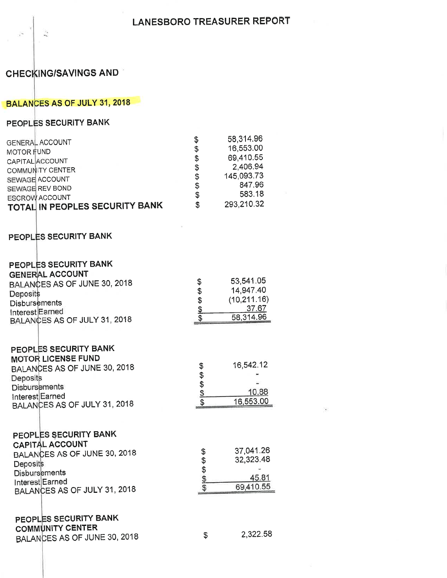# **CHECKING/SAVINGS AND**

Q

# BALANCES AS OF JULY 31, 2018

# PEOPLES SECURITY BANK

| <b>GENERAL ACCOUNT</b>                | \$<br>58,314.96  |
|---------------------------------------|------------------|
|                                       | \$<br>16,553.00  |
| <b>MOTOR FUND</b>                     | 69,410.55        |
| CAPITAL ACCOUNT                       | \$               |
| <b>COMMUNITY CENTER</b>               | \$<br>2,406.94   |
| SEWAGE ACCOUNT                        | \$<br>145,093.73 |
|                                       | \$<br>847.96     |
| SEWAGE REV BOND                       | 583.18           |
| <b>ESCROW ACCOUNT</b>                 | \$               |
| <b>TOTAL IN PEOPLES SECURITY BANK</b> | \$<br>293,210.32 |
|                                       |                  |
| PEOPLES SECURITY BANK                 |                  |
|                                       |                  |

| PEOPLES SECURITY BANK<br><b>GENERAL ACCOUNT</b><br>BALANCES AS OF JUNE 30, 2018<br>Deposits<br><b>Disbursements</b><br>Interest Earned<br>BALANCES AS OF JULY 31, 2018        | \$<br>\$\$\$\$   | 53,541.05<br>14,947.40<br>(10, 211.16)<br>37.67<br>58,314.96 |
|-------------------------------------------------------------------------------------------------------------------------------------------------------------------------------|------------------|--------------------------------------------------------------|
| PEOPLES SECURITY BANK<br><b>MOTOR LICENSE FUND</b><br>BALANCES AS OF JUNE 30, 2018<br>Deposits<br><b>Disbursements</b><br>Interest Earned<br>BALANCES AS OF JULY 31, 2018     | \$<br>8169 49 49 | 16,542.12<br>10.88<br>16,553.00                              |
| PEOPLES SECURITY BANK<br><b>CAPITAL ACCOUNT</b><br>BALANCES AS OF JUNE 30, 2018<br><b>Deposits</b><br><b>Disbursements</b><br>Interest Earned<br>BALANCES AS OF JULY 31, 2018 | 315 \$ \$\$      | 37,041.26<br>32,323.48<br>45.81<br>69,410.55                 |
| PEOPLES SECURITY BANK<br><b>COMMUNITY CENTER</b><br>BALANCES AS OF JUNE 30, 2018                                                                                              | \$               | 2,322.58                                                     |

80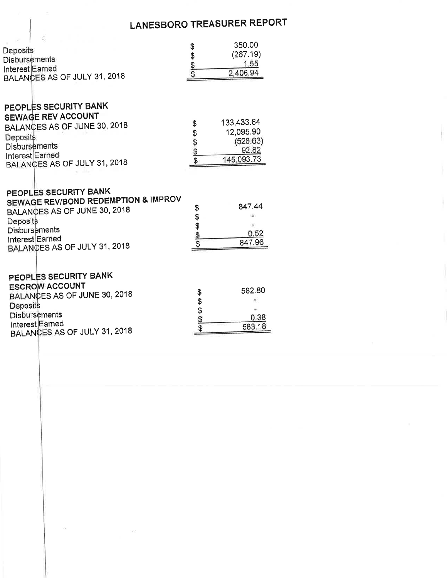| Deposits<br><b>Disbursements</b><br>Interest Earned<br>BALANCES AS OF JULY 31, 2018                                                                                                                                                              | 696969        | 350.00<br>(267.19)<br>1.55<br>2,406.94                               |
|--------------------------------------------------------------------------------------------------------------------------------------------------------------------------------------------------------------------------------------------------|---------------|----------------------------------------------------------------------|
| PEOPLES SECURITY BANK<br><b>SEWAGE REV ACCOUNT</b><br>BALANCES AS OF JUNE 30, 2018<br><b>Deposits</b><br><b>Disbursements</b><br>Interest Earned<br>BALANCES AS OF JULY 31, 2018<br>PEOPLES SECURITY BANK<br>SEWAGE REV/BOND REDEMPTION & IMPROV | \$<br>\$\$\$  | 133,433.64<br>12,095.90<br>(528.63)<br>92.82<br>145,093.73<br>847.44 |
| BALANCES AS OF JUNE 30, 2018<br>Deposits<br><b>Disbursements</b><br>Interest Earned<br>BALANCES AS OF JULY 31, 2018                                                                                                                              | 1000000<br>\$ | 0.52<br>847.96                                                       |
| PEOPLES SECURITY BANK<br><b>ESCROW ACCOUNT</b><br>BALANCES AS OF JUNE 30, 2018<br>Deposits<br><b>Disbursements</b><br>Interest Earned<br>BALANCES AS OF JULY 31, 2018                                                                            | \$\$\$\$\$    | 582.80<br>0.38<br>583.18                                             |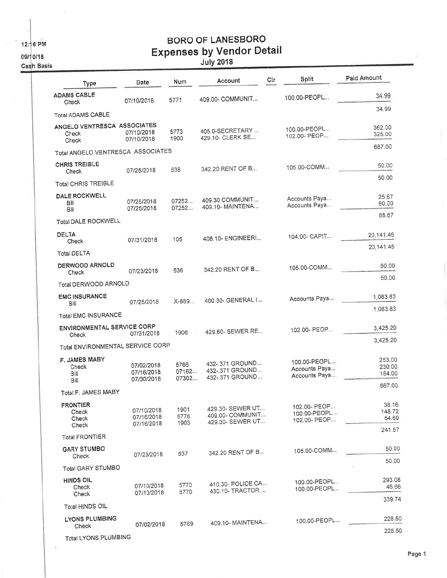12:16 PM

 $\bar{\Xi}$ 

09/10/18

Cash Basis

 $\bar{\nu}$ 

# **BORO OF LANESBORO** Expenses by Vendor Detail

| <b>Type</b>                                   | Date                                   | Num                    | Account                                                  | Cir | Split                                          | Paid Amount                |
|-----------------------------------------------|----------------------------------------|------------------------|----------------------------------------------------------|-----|------------------------------------------------|----------------------------|
| <b>ADAMS CABLE</b><br>Check                   | 07/10/2018                             | 5771                   | 409.00- COMMUNIT                                         |     | 100.00-PEOPL                                   | 34.99                      |
| <b>Total ADAMS CABLE</b>                      |                                        |                        |                                                          |     |                                                | 34.99                      |
| ANGELO VENTRESCA ASSOCIATES<br>Check<br>Check | 07/10/2018<br>07/10/2018               | 5773<br>1900           | 405.0-SECRETARY<br>429.10- CLERK SE                      |     | 100.00-PEOPL<br>102.00- PEOP                   | 362.00<br>325.00           |
| Total ANGELO VENTRESCA ASSOCIATES             |                                        |                        |                                                          |     |                                                | 687.00                     |
| <b>CHRIS TREIBLE</b><br>Check                 | 07/25/2018                             | 538                    | 342.20 RENT OF B                                         |     | 105.00-COMM                                    | 50,00                      |
| <b>Total CHRIS TREIBLE</b>                    |                                        |                        |                                                          |     |                                                | 50.00                      |
| DALE ROCKWELL<br>Bill<br>Bill                 | 07/25/2018<br>07/25/2018               | 07252<br>07252         | 409.30 COMMUNIT<br>409.10- MAINTENA                      |     | Accounts Paya<br>Accounts Paya                 | 25.67<br>60.00             |
| Total DALE ROCKWELL                           |                                        |                        |                                                          |     |                                                | 85.67                      |
| <b>DELTA</b><br>Check                         | 07/31/2018                             | 105                    | 408.10- ENGINEERI                                        |     | 104.00- CAPIT                                  | 20,141.45                  |
| <b>Total DELTA</b>                            |                                        |                        |                                                          |     |                                                | 20,141.45                  |
| DERWOOD ARNOLD<br>Check                       | 07/23/2018                             | 536                    | 342.20 RENT OF B.                                        |     | 105.00-COMM                                    | 50.00                      |
| Total DERWOOD ARNOLD                          |                                        |                        |                                                          |     |                                                | 50.00                      |
| <b>EMC INSURANCE</b><br>Bill                  | 07/25/2018                             | X-869                  | 400.30- GENERAL L.,                                      |     | Accounts Paya                                  | 1,083.83                   |
| <b>Total EMC INSURANCE</b>                    |                                        |                        |                                                          |     |                                                | 1,083.83                   |
| ENVIRONMENTAL SERVICE CORP<br>Check           | 07/31/2018                             | 1906                   | 429.60- SEWER RE                                         |     | 102.00- PEOP                                   | 3,425.20                   |
| Total ENVIRONMENTAL SERVICE CORP              |                                        |                        |                                                          |     |                                                | 3,425.20                   |
| <b>F. JAMES MABY</b><br>Check<br>Bill<br>Bill | 07/02/2018<br>07/16/2018<br>07/30/2018 | 5766<br>07162<br>07302 | 432-.371 GROUND<br>432-.371 GROUND<br>432-.371 GROUND    |     | 100.00-PEOPL<br>Accounts Paya<br>Accounts Paya | 253.00<br>230.00<br>184.00 |
| Total F. JAMES MABY                           |                                        |                        |                                                          |     |                                                | 667.00                     |
| <b>FRONTIER</b><br>Check<br>Check<br>Check    | 07/10/2018<br>07/16/2018<br>07/16/2018 | 1901<br>5776<br>1903   | 429.30- SEWER UT<br>409.00- COMMUNIT<br>429.30- SEWER UT |     | 102.00- PEOP<br>100.00-PEOPL<br>102.00- PEOP   | 38.16<br>148.72<br>54.69   |
| <b>Total FRONTIER</b>                         |                                        |                        |                                                          |     |                                                | 241.57                     |
| <b>GARY STUMBO</b><br>Check                   | 07/23/2018                             | 537                    | 342.20 RENT OF B.m                                       |     | 105.00-COMM                                    | 50.00                      |
| <b>Total GARY STUMBO</b>                      |                                        |                        |                                                          |     |                                                | 50.00                      |
| <b>HINDS OIL</b><br>Check<br>Check            | 07/10/2018<br>07/10/2018               | 5770<br>5770           | 410.30- POLICE CA.a<br>430.10- TRACTOR                   |     | 100.00-PEOPL<br>100.00-PEOPL                   | 293.08<br>46.66            |
| Total HINDS OIL                               |                                        |                        |                                                          |     |                                                | 339.74                     |
| <b>LYONS PLUMBING</b><br>Check                | 07/02/2018                             | 5769                   | 409.10- MAINTENA                                         |     | 100.00-PEOPL.2                                 | 228.50                     |
| <b>Total LYONS PLUMBING</b>                   |                                        |                        |                                                          |     |                                                | 228.50                     |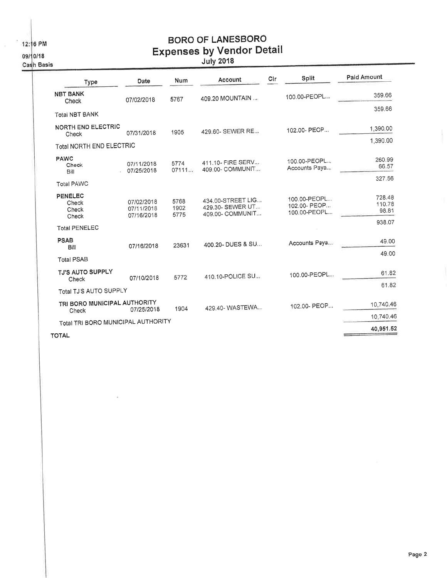12:16 PM

09/10/18

Cash Basis

# **BORO OF LANESBORO** Expenses by Vendor Detail

| <b>Type</b>                           | Date                                   | Num                  | Account                                                   | Cir | Split                                        | Paid Amount               |
|---------------------------------------|----------------------------------------|----------------------|-----------------------------------------------------------|-----|----------------------------------------------|---------------------------|
| <b>NBT BANK</b><br>Check              | 07/02/2018                             | 5767                 | 409.20 MOUNTAIN                                           |     | 100.00-PEOPL                                 | 359.66                    |
| <b>Total NBT BANK</b>                 |                                        |                      |                                                           |     |                                              | 359.66                    |
| <b>NORTH END ELECTRIC</b><br>Check    | 07/31/2018                             | 1905                 | 429.60- SEWER RE                                          |     | 102.00- PEOP                                 | 1,390.00                  |
| Total NORTH END ELECTRIC              |                                        |                      |                                                           |     |                                              | 1,390.00                  |
| <b>PAWC</b><br>Check<br>Bill          | 07/11/2018<br>07/25/2018               | 5774<br>07111        | 411.10- FIRE SERV<br>409.00- COMMUNIT                     |     | 100.00-PEOPL<br>Accounts Paya                | 260.99<br>66.57           |
| <b>Total PAWC</b>                     |                                        |                      |                                                           |     |                                              | 327.56                    |
| PENELEC<br>Check<br>Check<br>Check    | 07/02/2018<br>07/11/2018<br>07/16/2018 | 5768<br>1902<br>5775 | 434.00-STREET LIG<br>429.30- SEWER UT<br>409.00- COMMUNIT |     | 100.00-PEOPL<br>102.00- PEOP<br>100.00-PEOPL | 728.48<br>110.78<br>98.81 |
| <b>Total PENELEC</b>                  |                                        |                      |                                                           |     |                                              | 938.07                    |
| <b>PSAB</b><br>Bill                   | 07/16/2018                             | 23631                | 400.20- DUES & SU                                         |     | Accounts Paya                                | 49.00                     |
| <b>Total PSAB</b>                     |                                        |                      |                                                           |     |                                              | 49.00                     |
| <b>TJ'S AUTO SUPPLY</b><br>Check      | 07/10/2018                             | 5772                 | 410.10-POLICE SU                                          |     | 100.00-PEOPL                                 | 61.82                     |
| Total TJ'S AUTO SUPPLY                |                                        |                      |                                                           |     |                                              | 61.82                     |
| TRI BORO MUNICIPAL AUTHORITY<br>Check | 07/25/2018                             | 1904                 | 429.40-WASTEWA                                            |     | 102.00- PEOP                                 | 10.740.46                 |
| Total TRI BORO MUNICIPAL AUTHORITY    |                                        |                      |                                                           |     |                                              | 10.740.46                 |
| <b>TOTAL</b>                          |                                        |                      |                                                           |     |                                              | 40,951.52                 |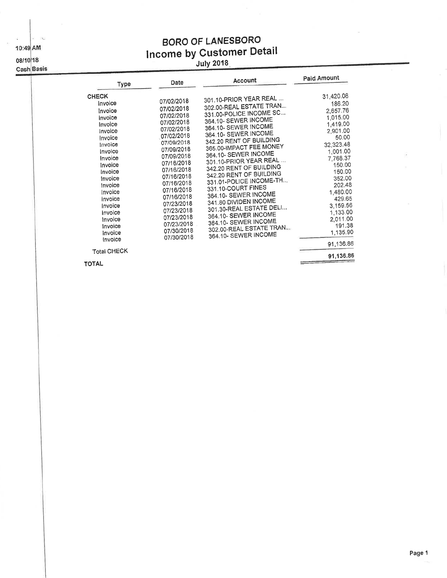10:49 AM

 $\hat{V}$ 

## 08/10/18

Cash Basis

# **BORO OF LANESBORO** Income by Customer Detail

| Type                                                                                                                                                                                                                                                                      | Date                                                                                                                                                                                                                                                                                               | Account                                                                                                                                                                                                                                                                                                                                                                                                                                                                                                                                            | Paid Amount                                                                                                                                                                                                                                                         |
|---------------------------------------------------------------------------------------------------------------------------------------------------------------------------------------------------------------------------------------------------------------------------|----------------------------------------------------------------------------------------------------------------------------------------------------------------------------------------------------------------------------------------------------------------------------------------------------|----------------------------------------------------------------------------------------------------------------------------------------------------------------------------------------------------------------------------------------------------------------------------------------------------------------------------------------------------------------------------------------------------------------------------------------------------------------------------------------------------------------------------------------------------|---------------------------------------------------------------------------------------------------------------------------------------------------------------------------------------------------------------------------------------------------------------------|
| <b>CHECK</b><br>Invoice<br>Invoice<br>Invoice<br>Invoice<br>Invoice<br>Invoice<br>Invoice<br>Invoice<br>Invoice<br>Invoice<br>Invoice<br>Invoice<br>Invoice<br>Invoice<br>Invoice<br>Invoice<br>Invoice<br>Invoice<br>Invoice<br>Invoice<br>Invoice<br><b>Total CHECK</b> | 07/02/2018<br>07/02/2018<br>07/02/2018<br>07/02/2018<br>07/02/2018<br>07/02/2018<br>07/09/2018<br>07/09/2018<br>07/09/2018<br>07/16/2018<br>07/16/2018<br>07/16/2018<br>07/16/2018<br>07/16/2018<br>07/16/2018<br>07/23/2018<br>07/23/2018<br>07/23/2018<br>07/23/2018<br>07/30/2018<br>07/30/2018 | 301.10-PRIOR YEAR REAL<br>302.00-REAL ESTATE TRAN<br>331.00-POLICE INCOME SC<br>364.10- SEWER INCOME<br>364.10- SEWER INCOME<br>364.10- SEWER INCOME<br>342.20 RENT OF BUILDING<br>365.00-IMPACT FEE MONEY<br>364.10- SEWER INCOME<br>301.10-PRIOR YEAR REAL<br>342.20 RENT OF BUILDING<br>342.20 RENT OF BUILDING<br>331.01-POLICE INCOME-TH<br>331.10-COURT FINES<br>364.10- SEWER INCOME<br>341.80 DIVIDEN INCOME<br>301.30-REAL ESTATE DELI<br>364.10- SEWER INCOME<br>364.10- SEWER INCOME<br>302.00-REAL ESTATE TRAN<br>364.10- SEWER INCOME | 31,420.08<br>186.20<br>2,657.76<br>1,015.00<br>1,419.00<br>2,901.00<br>50.00<br>32,323.48<br>1,001.00<br>7,768.37<br>150.00<br>150.00<br>352.00<br>202.48<br>1,480.00<br>429.65<br>3,159.56<br>1.133.00<br>2,011.00<br>191.38<br>1,135.90<br>91,136.86<br>91,136.86 |
| <b>TOTAL</b>                                                                                                                                                                                                                                                              |                                                                                                                                                                                                                                                                                                    |                                                                                                                                                                                                                                                                                                                                                                                                                                                                                                                                                    |                                                                                                                                                                                                                                                                     |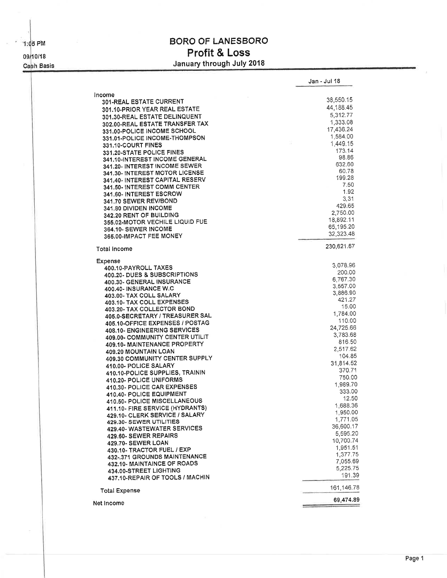1:05 PM 09/10/18 Cash Basis

# **BORO OF LANESBORO** Profit & Loss January through July 2018

|                                 | Jan - Jul 18 |
|---------------------------------|--------------|
| Income                          | 38,550.15    |
| 301-REAL ESTATE CURRENT         | 44,188.45    |
| 301.10-PRIOR YEAR REAL ESTATE   | 5,312.77     |
| 301.30-REAL ESTATE DELINQUENT   |              |
| 302.00-REAL ESTATE TRANSFER TAX | 1,333.08     |
| 331.00-POLICE INCOME SCHOOL     | 17,436.24    |
| 331.01-POLICE INCOME-THOMPSON   | 1,584,00     |
| 331.10-COURT FINES              | 1,449.15     |
| 331.20-STATE POLICE FINES       | 173.14       |
| 341.10-INTEREST INCOME GENERAL  | 98.86        |
| 341.20- INTEREST INCOME SEWER   | 632.60       |
| 341.30- INTEREST MOTOR LICENSE  | 60.78        |
| 341.40- INTEREST CAPITAL RESERV | 199.28       |
| 341.50- INTEREST COMM CENTER    | 7.50         |
| 341.60- INTEREST ESCROW         | 1.92         |
|                                 | 3,31         |
| 341.70 SEWER REV/BOND           | 429.65       |
| 341.80 DIVIDEN INCOME           | 2,750.00     |
| 342.20 RENT OF BUILDING         |              |
| 355.02-MOTOR VECHILE LIQUID FUE | 18,892.11    |
| 364.10- SEWER INCOME            | 65,195.20    |
| 365.00-IMPACT FEE MONEY         | 32,323.48    |
| Total Income                    | 230,621.67   |
| Expense                         | 3,078.96     |
| 400.10-PAYROLL TAXES            | 200.00       |
| 400.20- DUES & SUBSCRIPTIONS    |              |
| 400.30- GENERAL INSURANCE       | 6,767.30     |
| 400.40- INSURANCE W.C           | 3,557.00     |
| 403.00- TAX COLL SALARY         | 3,886.90     |
| 403.10- TAX COLL EXPENSES       | 421.27       |
| 403.20- TAX COLLECTOR BOND      | 15.00        |
| 405.0-SECRETARY / TREASURER SAL | 1,784.00     |
| 405.10-OFFICE EXPENSES / POSTAG | 110.00       |
| 408.10- ENGINEERING SERVICES    | 24,725.66    |
| 409.00- COMMUNITY CENTER UTILIT | 3,783.68     |
| 409.10- MAINTENANCE PROPERTY    | 816.50       |
| 409.20 MOUNTAIN LOAN            | 2,517.62     |
| 409.30 COMMUNITY CENTER SUPPLY  | 104.85       |
| 410.00- POLICE SALARY           | 31,814.52    |
| 410.10-POLICE SUPPLIES, TRAININ | 370.71       |
|                                 | 750.00       |
| 410.20- POLICE UNIFORMS         | 1,989.70     |
| 410.30- POLICE CAR EXPENSES     | 333.00       |
| 410.40- POLICE EQUIPMENT        | 12.50        |
| 410.50- POLICE MISCELLANEOUS    | 1,688.36     |
| 411.10- FIRE SERVICE (HYDRANTS) | 1,950.00     |
| 429.10- CLERK SERVICE / SALARY  |              |
| 429.30- SEWER UTILITIES         | 1,771.05     |
| 429.40- WASTEWATER SERVICES     | 36,600.17    |
| 429.60- SEWER REPAIRS           | 5,595.20     |
| 429.70- SEWER LOAN              | 10,700.74    |
| 430.10- TRACTOR FUEL / EXP      | 1,951.51     |
| 432-.371 GROUNDS MAINTENANCE    | 1,377.75     |
| 432.10- MAINTAINCE OF ROADS     | 7,055.69     |
| 434.00-STREET LIGHTING          | 5,225.75     |
| 437.10-REPAIR OF TOOLS / MACHIN | 191.39       |
| <b>Total Expense</b>            | 161,146.78   |
| Net Income                      | 69,474.89    |
|                                 |              |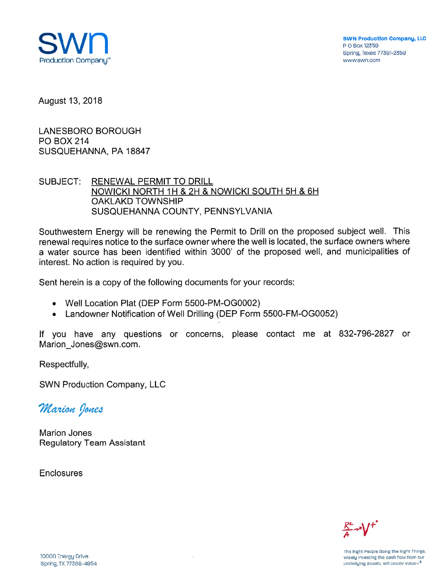

**SWN Production Company, LLC** P O Box 12359 Spring, Texas 77391-2359 www.swn.com

August 13, 2018

**LANESBORO BOROUGH PO BOX 214** SUSQUEHANNA, PA 18847

SUBJECT: **RENEWAL PERMIT TO DRILL** NOWICKI NORTH 1H & 2H & NOWICKI SOUTH 5H & 6H **OAKLAKD TOWNSHIP** SUSQUEHANNA COUNTY, PENNSYLVANIA

Southwestern Energy will be renewing the Permit to Drill on the proposed subject well. This renewal requires notice to the surface owner where the well is located, the surface owners where a water source has been identified within 3000' of the proposed well, and municipalities of interest. No action is required by you.

Sent herein is a copy of the following documents for your records:

- Well Location Plat (DEP Form 5500-PM-OG0002)
- Landowner Notification of Well Drilling (DEP Form 5500-FM-OG0052)

If you have any questions or concerns, please contact me at 832-796-2827 or Marion Jones@swn.com.

Respectfully,

**SWN Production Company, LLC** 

Marion Jones

**Marion Jones Regulatory Team Assistant** 

**Enclosures**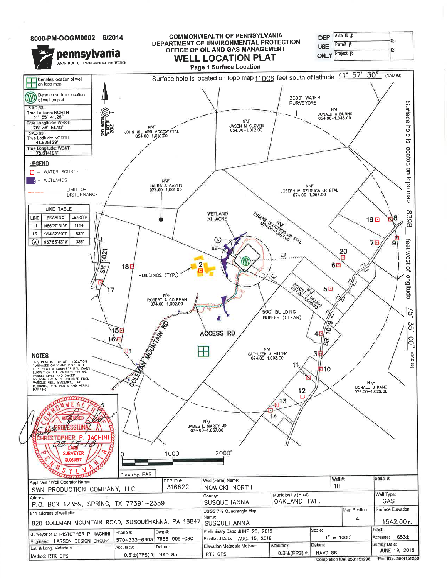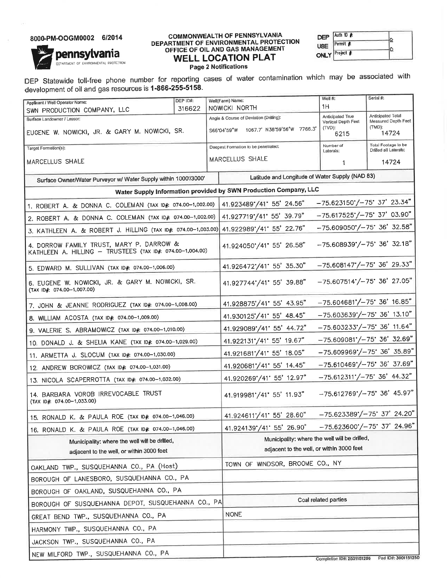#### 8000-PM-OOGM0002 6/2014

**pennsylvan**ia

DEPARTMENT OF ENVIRONMENTAL PROTECTION

#### **COMMONWEALTH OF PENNSYLVANIA** DEPARTMENT OF ENVIRONMENTAL PROTECTION OFFICE OF OIL AND GAS MANAGEMENT **WELL LOCATION PLAT**

| DEP Auth ID                               |  |
|-------------------------------------------|--|
| USE $\sqrt{\mathsf{Permit}\, \mathbf{F}}$ |  |
| <b>ONLY</b> Project #                     |  |

**Page 2 Notifications** 

DEP Statewide toll-free phone number for reporting cases of water contamination which may be associated with development of oil and gas resources is 1-866-255-5158.

| Applicant / Well Operator Name:                                                                       | DEP ID#: |               | Well(Farm) Name:                        | Well #:                                                                        | Serial #:                                    |                     |
|-------------------------------------------------------------------------------------------------------|----------|---------------|-----------------------------------------|--------------------------------------------------------------------------------|----------------------------------------------|---------------------|
| 316622<br>SWN PRODUCTION COMPANY, LLC                                                                 |          | NOWICKI NORTH | 1H                                      |                                                                                |                                              |                     |
| Surface Landowner / Lessor:                                                                           |          |               | Angle & Course of Deviation (Drilling): | Anticipated True<br>Vertical Depth Feet                                        | Anticipated Total                            | Measured Depth Feet |
| EUGENE W. NOWICKI, JR. & GARY M. NOWICKI, SR.                                                         |          |               | S66'04'59"W 1067.7' N38'59'56"W 7766.3' | (TVD):<br>6215                                                                 | (TMD):                                       | 14724               |
| Target Formation(s):                                                                                  |          |               | Deepest Formation to be penetrated:     | Number of<br>Laterals:                                                         | Total Footage to be<br>Drilled all Laterals: |                     |
| MARCELLUS SHALE                                                                                       |          |               | MARCELLUS SHALE                         | 1                                                                              |                                              | 14724               |
| Surface Owner/Water Purveyor w/ Water Supply within 1000'/3000'                                       |          |               |                                         | Latitude and Longitude of Water Supply (NAD 83)                                |                                              |                     |
| Water Supply Information provided by SWN Production Company, LLC                                      |          |               |                                         |                                                                                |                                              |                     |
| 1. ROBERT A. & DONNA C. COLEMAN (TAX ID#: 074.00-1,002.00)                                            |          |               | 41.923489*/41* 55' 24.56"               | $-75.623150'/-75' 37' 23.34"$                                                  |                                              |                     |
| 2. ROBERT A. & DONNA C. COLEMAN (TAX ID#: 074.00-1,002.00)                                            |          |               | 41.927719'/41' 55' 39.79"               | $-75.617525'/-75'$ 37' 03.90"                                                  |                                              |                     |
| 3. KATHLEEN A. & ROBERT J. HILLING (TAX ID#: 074.00-1,003.00) 41.922989'/41' 55' 22.76"               |          |               |                                         | $-75.609050'/-75'$ 36' 32.58"                                                  |                                              |                     |
| 4. DORROW FAMILY TRUST, MARY P. DARROW &<br>KATHLEEN A. HILLING - TRUSTEES (TAX ID#: 074.00-1.004.00) |          |               | 41.924050'/41' 55' 26.58"               | $-75.608939'/-75'36'32.18"$                                                    |                                              |                     |
| 5. EDWARD M. SULLIVAN (TAX ID#: 074.00-1,006.00)                                                      |          |               | 41.926472 / 41 55' 35.30"               | $-75.608147'/-75' 36' 29.33"$                                                  |                                              |                     |
| 6. EUGENE W. NOWICKI, JR. & GARY M. NOWICKI, SR.<br>(TAX ID#: 074.00-1,007.00)                        |          |               | 41.927744'/41' 55' 39.88"               | $-75.607514$ <sup>*</sup> /-75 <sup>*</sup> 36 <sup>'</sup> 27.05 <sup>"</sup> |                                              |                     |
| 7. JOHN & JEANNE RODRIGUEZ (TAX ID#: 074.00-1,008.00)                                                 |          |               | 41.928875'/41' 55' 43.95"               | $-75.604681'/-75$ 36' 16.85"                                                   |                                              |                     |
| 8. WILLIAM ACOSTA (TAX ID#: 074.00-1,009.00)                                                          |          |               | 41.930125 / 41 55' 48.45"               | $-75.603639'/-75'36'13.10"$                                                    |                                              |                     |
| 9. VALERIE S. ABRAMOWICZ (TAX ID#: 074.00-1,010.00)                                                   |          |               | 41.929089"/41" 55' 44.72"               | $-75.603233'/-75'36'11.64"$                                                    |                                              |                     |
| 10. DONALD J. & SHELIA KANE (TAX ID#: 074.00-1,029.00)                                                |          |               | 41.922131 '/41' 55' 19.67"              | $-75.609081'/-75'36'32.69"$                                                    |                                              |                     |
| 11. ARMETTA J. SLOCUM (TAX ID#: 074.00-1,030.00)                                                      |          |               | 41.921681 / 41' 55' 18.05"              | $-75.609969'/-75'36'35.89"$                                                    |                                              |                     |
| 12. ANDREW BOROWICZ (TAX ID#: 074.00-1,031.00)                                                        |          |               | 41.920681"/41" 55' 14.45"               | $-75.610469'/-75'$ 36' 37.69"                                                  |                                              |                     |
| 13. NICOLA SCAPERROTTA (TAX ID#: 074.00-1,032.00)                                                     |          |               | 41.920269°/41' 55' 12.97"               | $-75.612311'/-75$ 36' 44.32"                                                   |                                              |                     |
| 14. BARBARA VOROB IRREVOCABLE TRUST<br>(TAX ID#: 074.00-1,033.00)                                     |          |               | 41.919981"/41" 55' 11.93"               | $-75.612769'/-75'$ 36' 45.97"                                                  |                                              |                     |
| 15. RONALD K. & PAULA ROE (TAX ID# 074.00-1,046.00)                                                   |          |               | 41.924611'/41' 55' 28.60"               | $-75.623389'/-75' 37' 24.20"$                                                  |                                              |                     |
| 16. RONALD K. & PAULA ROE (TAX ID#: 074.00-1,046.00)                                                  |          |               | 41.924139°/41° 55' 26.90"               | $-75.623600'/-75' 37' 24.96"$                                                  |                                              |                     |
| Municipality: where the well will be drilled,                                                         |          |               |                                         | Municipality: where the well will be drilled,                                  |                                              |                     |
| adjacent to the well, or within 3000 feet                                                             |          |               |                                         | adjacent to the well, or within 3000 feet                                      |                                              |                     |
| OAKLAND TWP., SUSQUEHANNA CO., PA (Host)                                                              |          |               | TOWN OF WINDSOR, BROOME CO., NY         |                                                                                |                                              |                     |
| BOROUGH OF LANESBORO, SUSQUEHANNA CO., PA                                                             |          |               |                                         |                                                                                |                                              |                     |
| BOROUGH OF OAKLAND, SUSQUEHANNA CO., PA                                                               |          |               |                                         |                                                                                |                                              |                     |
| BOROUGH OF SUSQUEHANNA DEPOT, SUSQUEHANNA CO., PA                                                     |          |               |                                         | Coal related parties                                                           |                                              |                     |
| GREAT BEND TWP., SUSQUEHANNA CO., PA                                                                  |          |               | <b>NONE</b>                             |                                                                                |                                              |                     |
| HARMONY TWP., SUSQUEHANNA CO., PA                                                                     |          |               |                                         |                                                                                |                                              |                     |
| JACKSON TWP., SUSQUEHANNA CO., PA                                                                     |          |               |                                         |                                                                                |                                              |                     |
| NEW MILFORD TWP., SUSQUEHANNA CO., PA                                                                 |          |               |                                         | Completion (D#: 2501151296  Pad ID#: 30011512)                                 |                                              |                     |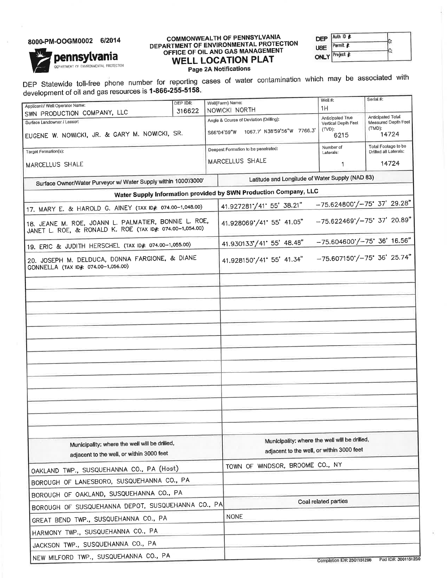### 8000-PM-OOGM0002 6/2014

pennsylvania

DEPARTMENT OF ENVIRONMENTAL PROTECTION

# **COMMONWEALTH OF PENNSYLVANIA** DEPARTMENT OF ENVIRONMENTAL PROTECTION<br>OFFICE OF OIL AND GAS MANAGEMENT **WELL LOCATION PLAT**

Auth ID # **DEP** G: Permit # **USE** Ņ. Project # **ONLY** 

Page 2A Notifications

DEP Statewide toll-free phone number for reporting cases of water contamination which may be associated with development of oil and gas resources is 1-866-255-5158.

|                                                                                                                  | DEP ID#:                      |                                               | Well(Farm) Name:                                                 |  | Well #:                                          | Serial #:                                    |
|------------------------------------------------------------------------------------------------------------------|-------------------------------|-----------------------------------------------|------------------------------------------------------------------|--|--------------------------------------------------|----------------------------------------------|
| Applicant / Well Operator Name:<br>SWN PRODUCTION COMPANY, LLC                                                   | 316622                        |                                               | NOWICKI NORTH                                                    |  | 1H                                               |                                              |
| Surface Landowner / Lessor:                                                                                      |                               |                                               | Angle & Course of Deviation (Drilling):                          |  | Anticipated True<br>Vertical Depth Feet          | Anticipated Total<br>Measured Depth Feet     |
| EUGENE W. NOWICKI, JR. & GARY M. NOWICKI, SR.                                                                    |                               |                                               | S66°04'59"W 1067.7' N38'59'56"W 7766.3'                          |  | $(TVD)$ :<br>6215                                | $(TMD)$ :<br>14724                           |
| Target Formation(s):                                                                                             |                               |                                               | Deepest Formation to be penetrated:                              |  | Number of<br>Laterals:                           | Total Footage to be<br>Drilled all Laterals: |
| MARCELLUS SHALE                                                                                                  | MARCELLUS SHALE<br>14724<br>1 |                                               |                                                                  |  |                                                  |                                              |
| Surface Owner/Water Purveyor w/ Water Supply within 1000'/3000'                                                  |                               |                                               |                                                                  |  | Latitude and Longitude of Water Supply (NAD 83)  |                                              |
|                                                                                                                  |                               |                                               | Water Supply Information provided by SWN Production Company, LLC |  |                                                  |                                              |
| 17. MARY E. & HAROLD G. AINEY (TAX ID#: 074.00-1,048.00)                                                         |                               |                                               | 41.927281 / 41 55' 38.21"                                        |  | $-75.624800'/-75'$ 37' 29.28"                    |                                              |
| 18. JEANE M. ROE, JOANN L. PALMATIER, BONNIE L. ROE,<br>JANET L. ROE, & RONALD K. ROE (TAX ID#: 074.00-1,054.00) |                               |                                               | 41.928069°/41° 55' 41.05"                                        |  | $-75.622469'/-75' 37' 20.89"$                    |                                              |
| 19. ERIC & JUDITH HERSCHEL (TAX ID# 074.00-1.055.00)                                                             |                               |                                               | 41.930133 / 41' 55' 48.48"                                       |  | $-75.604600'/-75'$ 36' 16.56"                    |                                              |
| 20. JOSEPH M. DELDUCA, DONNA FARGIONE, & DIANE<br>GONNELLA (TAX ID#: 074.00-1,056.00)                            |                               |                                               | 41.928150'/41' 55' 41.34"                                        |  | $-75.607150'/-75$ 36' 25.74"                     |                                              |
|                                                                                                                  |                               |                                               |                                                                  |  |                                                  |                                              |
|                                                                                                                  |                               |                                               |                                                                  |  |                                                  |                                              |
|                                                                                                                  |                               |                                               |                                                                  |  |                                                  |                                              |
|                                                                                                                  |                               |                                               |                                                                  |  |                                                  |                                              |
|                                                                                                                  |                               |                                               |                                                                  |  |                                                  |                                              |
|                                                                                                                  |                               |                                               |                                                                  |  |                                                  |                                              |
|                                                                                                                  |                               |                                               |                                                                  |  |                                                  |                                              |
|                                                                                                                  |                               |                                               |                                                                  |  |                                                  |                                              |
|                                                                                                                  |                               |                                               |                                                                  |  |                                                  |                                              |
|                                                                                                                  |                               |                                               |                                                                  |  |                                                  |                                              |
|                                                                                                                  |                               |                                               |                                                                  |  |                                                  |                                              |
|                                                                                                                  |                               |                                               |                                                                  |  |                                                  |                                              |
|                                                                                                                  |                               |                                               |                                                                  |  |                                                  |                                              |
|                                                                                                                  |                               | Municipality: where the well will be drilled, |                                                                  |  |                                                  |                                              |
| Municipality; where the well will be drilled,<br>adjacent to the well, or within 3000 feet                       |                               |                                               | adjacent to the well, or within 3000 feet                        |  |                                                  |                                              |
|                                                                                                                  |                               |                                               | TOWN OF WINDSOR, BROOME CO., NY                                  |  |                                                  |                                              |
| OAKLAND TWP., SUSQUEHANNA CO., PA (Host)                                                                         |                               |                                               |                                                                  |  |                                                  |                                              |
| BOROUGH OF LANESBORO, SUSQUEHANNA CO., PA                                                                        |                               |                                               |                                                                  |  |                                                  |                                              |
| BOROUGH OF OAKLAND, SUSQUEHANNA CO., PA<br>BOROUGH OF SUSQUEHANNA DEPOT, SUSQUEHANNA CO., PA                     |                               |                                               |                                                                  |  | Coal related parties                             |                                              |
|                                                                                                                  |                               |                                               | <b>NONE</b>                                                      |  |                                                  |                                              |
| GREAT BEND TWP., SUSQUEHANNA CO., PA                                                                             |                               |                                               |                                                                  |  |                                                  |                                              |
| HARMONY TWP., SUSQUEHANNA CO., PA                                                                                |                               |                                               |                                                                  |  |                                                  |                                              |
| JACKSON TWP., SUSQUEHANNA CO., PA                                                                                |                               |                                               |                                                                  |  |                                                  |                                              |
| NEW MILFORD TWP., SUSQUEHANNA CO., PA                                                                            |                               |                                               |                                                                  |  | Completion ID#: 2501151296   Pad ID#: 3001151250 |                                              |